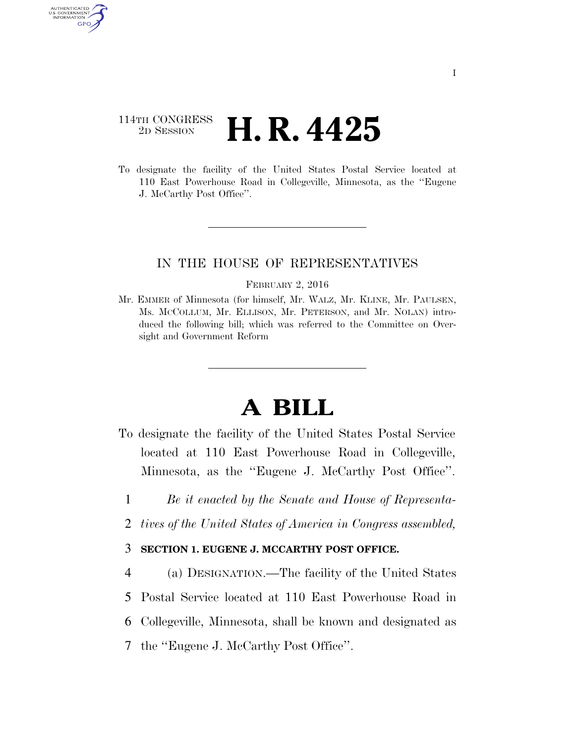# 114TH CONGRESS <sup>2D SESSION</sup> **H. R. 4425**

AUTHENTICATED U.S. GOVERNMENT GPO

> To designate the facility of the United States Postal Service located at 110 East Powerhouse Road in Collegeville, Minnesota, as the ''Eugene J. McCarthy Post Office''.

## IN THE HOUSE OF REPRESENTATIVES

#### FEBRUARY 2, 2016

Mr. EMMER of Minnesota (for himself, Mr. WALZ, Mr. KLINE, Mr. PAULSEN, Ms. MCCOLLUM, Mr. ELLISON, Mr. PETERSON, and Mr. NOLAN) introduced the following bill; which was referred to the Committee on Oversight and Government Reform

# **A BILL**

- To designate the facility of the United States Postal Service located at 110 East Powerhouse Road in Collegeville, Minnesota, as the ''Eugene J. McCarthy Post Office''.
	- 1 *Be it enacted by the Senate and House of Representa-*
	- 2 *tives of the United States of America in Congress assembled,*

### 3 **SECTION 1. EUGENE J. MCCARTHY POST OFFICE.**

4 (a) DESIGNATION.—The facility of the United States 5 Postal Service located at 110 East Powerhouse Road in

6 Collegeville, Minnesota, shall be known and designated as

7 the ''Eugene J. McCarthy Post Office''.